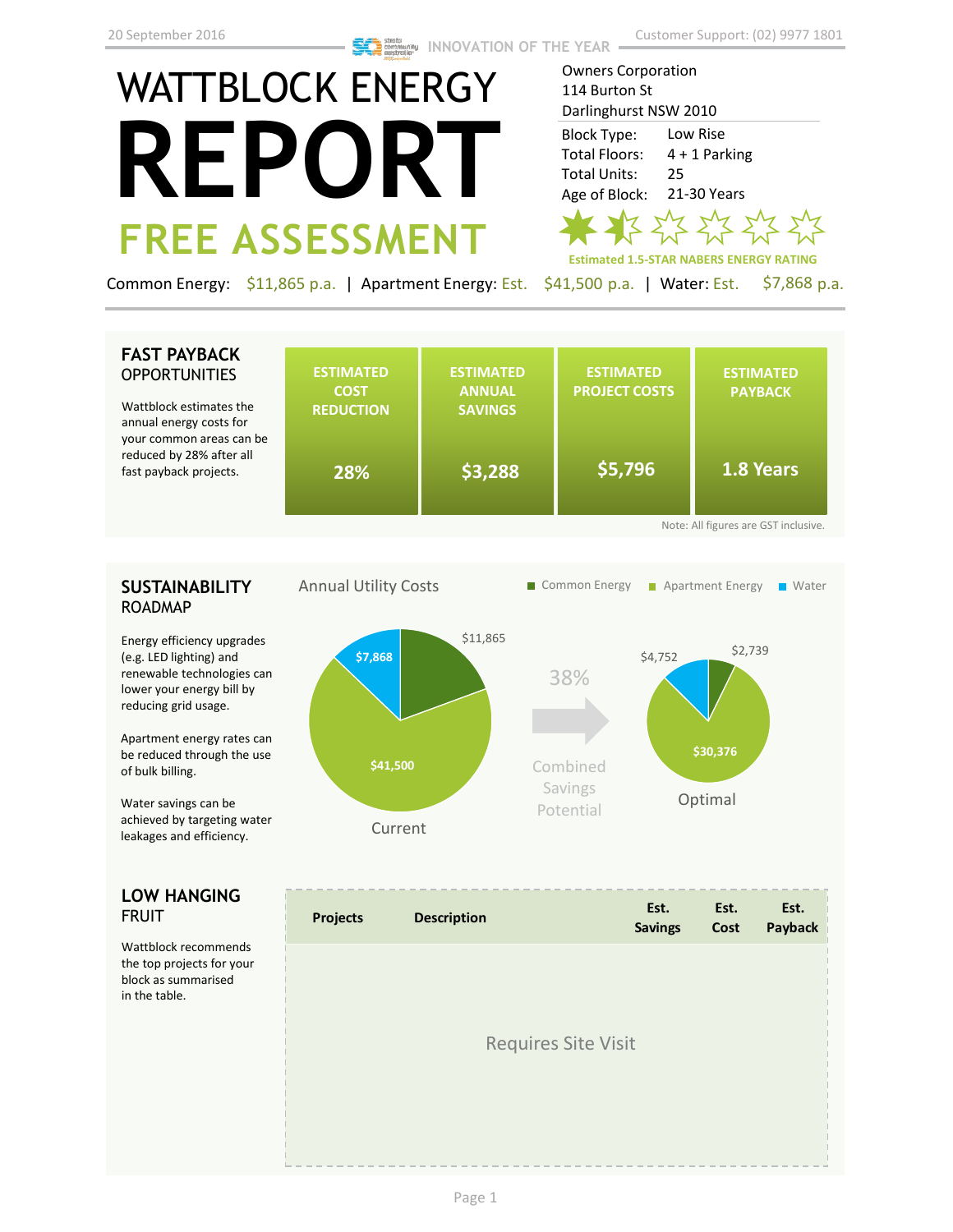# WATTBLOCK ENERGY **REPORT FREE ASSESSMENT**

**Estimated 1.5-STAR NABERS ENERGY RATING** Owners Corporation 114 Burton St Darlinghurst NSW 2010 Low Rise 4 + 1 Parking 25 21-30 Years Block Type: Total Floors: Total Units: Age of Block:

Common Energy: \$11,865 p.a. | Apartment Energy: Est. \$41,500 p.a. | Water: Est. \$7,868 p.a.

## **FAST PAYBACK OPPORTUNITIES**

Wattblock estimates the annual energy costs for your common areas can be reduced by 28% after all fast payback projects.

|    | <b>ESTIMATED</b><br><b>COST</b><br><b>REDUCTION</b> | <b>ESTIMATED</b><br><b>ANNUAL</b><br><b>SAVINGS</b> | <b>ESTIMATED</b><br><b>PROJECT COSTS</b> | <b>ESTIMATED</b><br><b>PAYBACK</b>   |
|----|-----------------------------------------------------|-----------------------------------------------------|------------------------------------------|--------------------------------------|
| be | 28%                                                 | \$3,288                                             | \$5,796                                  | 1.8 Years                            |
|    |                                                     |                                                     |                                          | Note: All figures are GST inclusive. |

### **SUSTAINABILITY** ROADMAP

Energy efficiency upgrades (e.g. LED lighting) and renewable technologies can lower your energy bill by reducing grid usage.

Apartment energy rates can be reduced through the use of bulk billing.

Water savings can be achieved by targeting water leakages and efficiency.

#### **LOW HANGING**  FRUIT

Wattblock recommends the top projects for your block as summarised in the table.



| <b>Projects</b>            | <b>Description</b> | Est.<br><b>Savings</b> | Est.<br>Cost | Est.<br>Payback |  |
|----------------------------|--------------------|------------------------|--------------|-----------------|--|
|                            |                    |                        |              |                 |  |
| <b>Requires Site Visit</b> |                    |                        |              |                 |  |
|                            |                    |                        |              |                 |  |